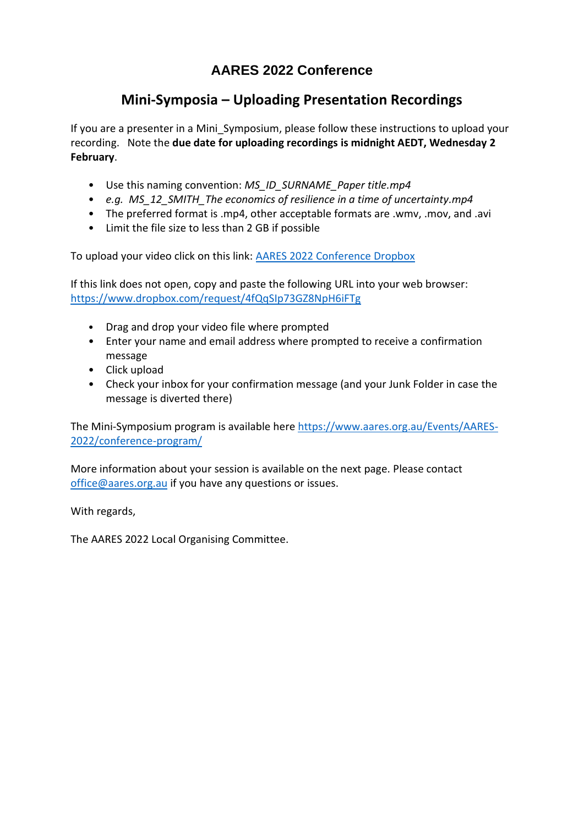## **AARES 2022 Conference**

## **Mini-Symposia – Uploading Presentation Recordings**

If you are a presenter in a Mini\_Symposium, please follow these instructions to upload your recording. Note the **due date for uploading recordings is midnight AEDT, Wednesday 2 February**.

- Use this naming convention: *MS\_ID\_SURNAME\_Paper title.mp4*
- *e.g. MS\_12\_SMITH\_The economics of resilience in a time of uncertainty.mp4*
- The preferred format is .mp4, other acceptable formats are .wmv, .mov, and .avi
- Limit the file size to less than 2 GB if possible

To upload your video click on this link: [AARES 2022 Conference Dropbox](https://www.dropbox.com/request/4fQqSIp73GZ8NpH6iFTg)

If this link does not open, copy and paste the following URL into your web browser: <https://www.dropbox.com/request/4fQqSIp73GZ8NpH6iFTg>

- Drag and drop your video file where prompted
- Enter your name and email address where prompted to receive a confirmation message
- Click upload
- Check your inbox for your confirmation message (and your Junk Folder in case the message is diverted there)

The Mini-Symposium program is available her[e https://www.aares.org.au/Events/AARES-](https://www.aares.org.au/Events/AARES-2022/conference-program/)[2022/conference-program/](https://www.aares.org.au/Events/AARES-2022/conference-program/)

More information about your session is available on the next page. Please contact [office@aares.org.au](mailto:office@aares.org.au) if you have any questions or issues.

With regards,

The AARES 2022 Local Organising Committee.